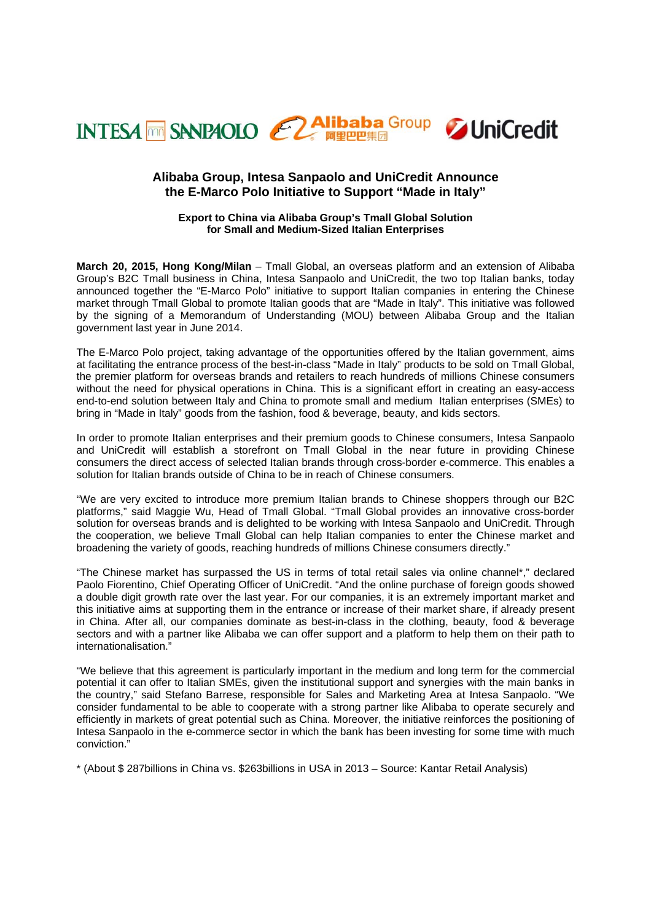

# **Alibaba Group, Intesa Sanpaolo and UniCredit Announce the E-Marco Polo Initiative to Support "Made in Italy"**

# **Export to China via Alibaba Group's Tmall Global Solution for Small and Medium-Sized Italian Enterprises**

**March 20, 2015, Hong Kong/Milan** – Tmall Global, an overseas platform and an extension of Alibaba Group's B2C Tmall business in China, Intesa Sanpaolo and UniCredit, the two top Italian banks, today announced together the "E-Marco Polo" initiative to support Italian companies in entering the Chinese market through Tmall Global to promote Italian goods that are "Made in Italy". This initiative was followed by the signing of a Memorandum of Understanding (MOU) between Alibaba Group and the Italian government last year in June 2014.

The E-Marco Polo project, taking advantage of the opportunities offered by the Italian government, aims at facilitating the entrance process of the best-in-class "Made in Italy" products to be sold on Tmall Global, the premier platform for overseas brands and retailers to reach hundreds of millions Chinese consumers without the need for physical operations in China. This is a significant effort in creating an easy-access end-to-end solution between Italy and China to promote small and medium Italian enterprises (SMEs) to bring in "Made in Italy" goods from the fashion, food & beverage, beauty, and kids sectors.

In order to promote Italian enterprises and their premium goods to Chinese consumers, Intesa Sanpaolo and UniCredit will establish a storefront on Tmall Global in the near future in providing Chinese consumers the direct access of selected Italian brands through cross-border e-commerce. This enables a solution for Italian brands outside of China to be in reach of Chinese consumers.

"We are very excited to introduce more premium Italian brands to Chinese shoppers through our B2C platforms," said Maggie Wu, Head of Tmall Global. "Tmall Global provides an innovative cross-border solution for overseas brands and is delighted to be working with Intesa Sanpaolo and UniCredit. Through the cooperation, we believe Tmall Global can help Italian companies to enter the Chinese market and broadening the variety of goods, reaching hundreds of millions Chinese consumers directly."

"The Chinese market has surpassed the US in terms of total retail sales via online channel\*," declared Paolo Fiorentino, Chief Operating Officer of UniCredit. "And the online purchase of foreign goods showed a double digit growth rate over the last year. For our companies, it is an extremely important market and this initiative aims at supporting them in the entrance or increase of their market share, if already present in China. After all, our companies dominate as best-in-class in the clothing, beauty, food & beverage sectors and with a partner like Alibaba we can offer support and a platform to help them on their path to internationalisation."

"We believe that this agreement is particularly important in the medium and long term for the commercial potential it can offer to Italian SMEs, given the institutional support and synergies with the main banks in the country," said Stefano Barrese, responsible for Sales and Marketing Area at Intesa Sanpaolo. "We consider fundamental to be able to cooperate with a strong partner like Alibaba to operate securely and efficiently in markets of great potential such as China. Moreover, the initiative reinforces the positioning of Intesa Sanpaolo in the e-commerce sector in which the bank has been investing for some time with much conviction."

\* (About \$ 287billions in China vs. \$263billions in USA in 2013 – Source: Kantar Retail Analysis)